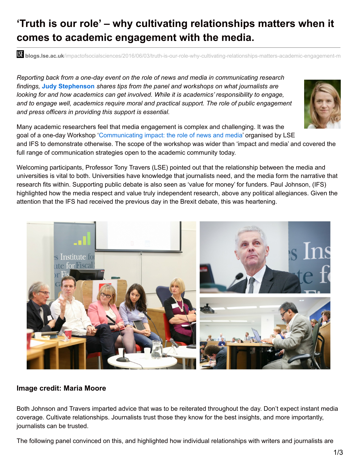## **'Truth is our role' – why cultivating relationships matters when it comes to academic engagement with the media.**

**bli blogs.lse.ac.uk**/impactofsocialsciences/2016/06/03/truth-is-our-role-why-cultivating-relationships-matters-academic-engagement-m

*Reporting back from a one-day event on the role of news and media in communicating research findings,* **Judy Stephenson** *shares tips from the panel and workshops on what journalists are looking for and how academics can get involved. While it is academics' responsibility to engage, and to engage well, academics require moral and practical support. The role of public engagement and press officers in providing this support is essential.*



and IFS to demonstrate otherwise. The scope of the workshop was wider than 'impact and media' and covered the full range of communication strategies open to the academic community today.

Welcoming participants, Professor Tony Travers (LSE) pointed out that the relationship between the media and universities is vital to both. Universities have knowledge that journalists need, and the media form the narrative that research fits within. Supporting public debate is also seen as 'value for money' for funders. Paul Johnson, (IFS) highlighted how the media respect and value truly independent research, above any political allegiances. Given the attention that the IFS had received the previous day in the Brexit debate, this was heartening.



## **Image credit: Maria Moore**

Both Johnson and Travers imparted advice that was to be reiterated throughout the day. Don't expect instant media coverage. Cultivate relationships. Journalists trust those they know for the best insights, and more importantly, journalists can be trusted.

The following panel convinced on this, and highlighted how individual relationships with writers and journalists are

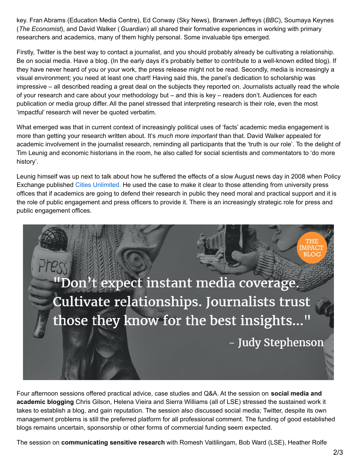key. Fran Abrams (Education Media Centre), Ed Conway (Sky News), Branwen Jeffreys (*BBC*), Soumaya Keynes (*The Economist*), and David Walker (*Guardian*) all shared their formative experiences in working with primary researchers and academics, many of them highly personal. Some invaluable tips emerged.

Firstly, Twitter is the best way to contact a journalist, and you should probably already be cultivating a relationship. Be on social media. Have a blog. (In the early days it's probably better to contribute to a well-known edited blog). If they have never heard of you or your work, the press release might not be read. Secondly, media is increasingly a visual environment; you need at least one chart! Having said this, the panel's dedication to scholarship was impressive – all described reading a great deal on the subjects they reported on. Journalists actually read the whole of your research and care about your methodology but – and this is key – readers don't. Audiences for each publication or media group differ. All the panel stressed that interpreting research is their role, even the most 'impactful' research will never be quoted verbatim.

What emerged was that in current context of increasingly political uses of 'facts' academic media engagement is more than getting your research written about. It's *much more important* than that. David Walker appealed for academic involvement in the journalist research, reminding all participants that the 'truth is our role'. To the delight of Tim Leunig and economic historians in the room, he also called for social scientists and commentators to 'do more history'.

Leunig himself was up next to talk about how he suffered the effects of a slow August news day in 2008 when Policy Exchange published Cities [Unlimited.](http://www.theguardian.com/commentisfree/2008/aug/13/regeneration.conservatives) He used the case to make it clear to those attending from university press offices that if academics are going to defend their research in public they need moral and practical support and it is the role of public engagement and press officers to provide it. There is an increasingly strategic role for press and public engagement offices.



Four afternoon sessions offered practical advice, case studies and Q&A. At the session on **social media and academic blogging** Chris Gilson, Helena Vieira and Sierra Williams (all of LSE) stressed the sustained work it takes to establish a blog, and gain reputation. The session also discussed social media; Twitter, despite its own management problems is still the preferred platform for all professional comment. The funding of good established blogs remains uncertain, sponsorship or other forms of commercial funding seem expected.

The session on **communicating sensitive research** with Romesh Vaitilingam, Bob Ward (LSE), Heather Rolfe